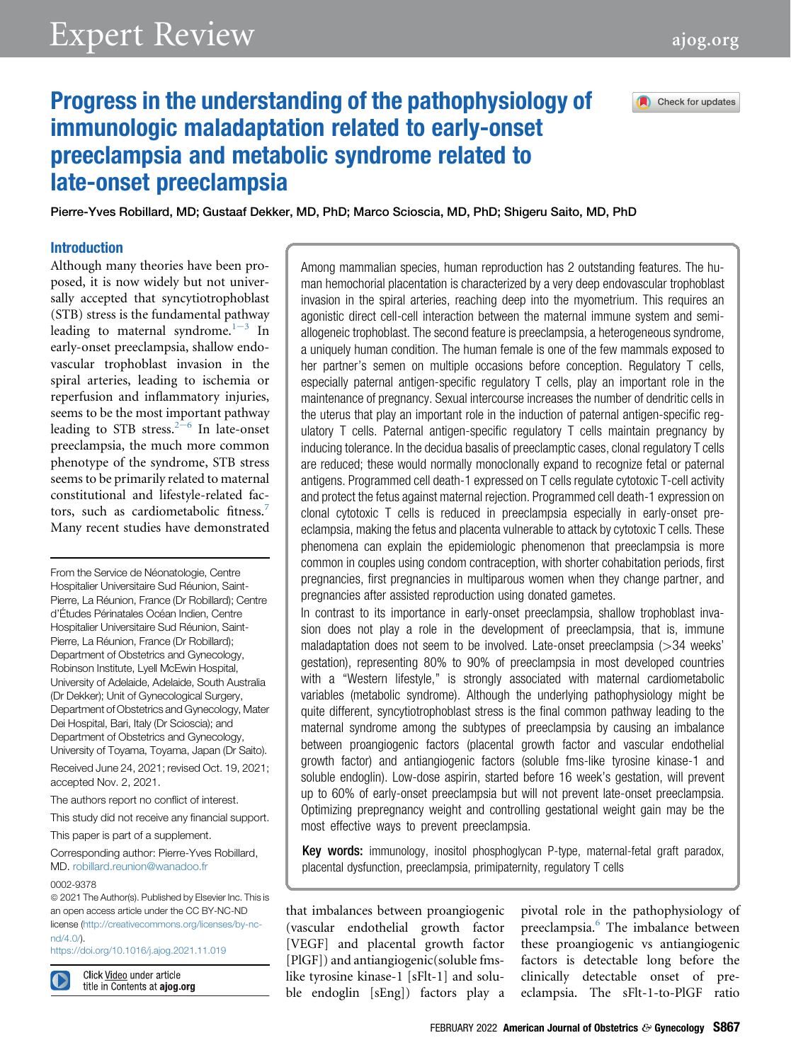Check for updates

# Progress in the understanding of the pathophysiology of immunologic maladaptation related to early-onset preeclampsia and metabolic syndrome related to late-onset preeclampsia

Pierre-Yves Robillard, MD; Gustaaf Dekker, MD, PhD; Marco Scioscia, MD, PhD; Shigeru Saito, MD, PhD

### Introduction

Although many theories have been proposed, it is now widely but not universally accepted that syncytiotrophoblast (STB) stress is the fundamental pathway l[e](#page-6-0)ading to maternal syndrome. $1-3$  In early-onset preeclampsia, shallow endovascular trophoblast invasion in the spiral arteries, leading to ischemia or reperfusion and inflammatory injuries, seems to be the most important pathway l[e](#page-6-1)ading to STB stress. $2-6$  In late-onset preeclampsia, the much more common phenotype of the syndrome, STB stress seems to be primarily related to maternal constitutional and lifestyle-related fac-tors, such as cardiometabolic fitness.<sup>[7](#page-7-0)</sup> Many recent studies have demonstrated

From the Service de Néonatologie, Centre Hospitalier Universitaire Sud Réunion, Saint-Pierre, La Réunion, France (Dr Robillard); Centre d'Études Périnatales Océan Indien, Centre Hospitalier Universitaire Sud Réunion, Saint-Pierre, La Réunion, France (Dr Robillard); Department of Obstetrics and Gynecology, Robinson Institute, Lyell McEwin Hospital, University of Adelaide, Adelaide, South Australia (Dr Dekker); Unit of Gynecological Surgery, Department of Obstetrics and Gynecology, Mater Dei Hospital, Bari, Italy (Dr Scioscia); and Department of Obstetrics and Gynecology, University of Toyama, Toyama, Japan (Dr Saito). Received June 24, 2021; revised Oct. 19, 2021;

accepted Nov. 2, 2021. The authors report no conflict of interest.

This study did not receive any financial support.

This paper is part of a supplement.

Corresponding author: Pierre-Yves Robillard, MD. [robillard.reunion@wanadoo.fr](mailto:robillard.reunion@wanadoo.fr)

#### 0002-9378

ª 2021 The Author(s). Published by Elsevier Inc. This is an open access article under the CC BY-NC-ND license ([http://creativecommons.org/licenses/by-nc](http://creativecommons.org/licenses/by-nc-nd/4.0/)[nd/4.0/\)](http://creativecommons.org/licenses/by-nc-nd/4.0/).

<https://doi.org/10.1016/j.ajog.2021.11.019>



Click Video under article title in Contents at ajog.org Among mammalian species, human reproduction has 2 outstanding features. The human hemochorial placentation is characterized by a very deep endovascular trophoblast invasion in the spiral arteries, reaching deep into the myometrium. This requires an agonistic direct cell-cell interaction between the maternal immune system and semiallogeneic trophoblast. The second feature is preeclampsia, a heterogeneous syndrome, a uniquely human condition. The human female is one of the few mammals exposed to her partner's semen on multiple occasions before conception. Regulatory T cells, especially paternal antigen-specific regulatory T cells, play an important role in the maintenance of pregnancy. Sexual intercourse increases the number of dendritic cells in the uterus that play an important role in the induction of paternal antigen-specific regulatory T cells. Paternal antigen-specific regulatory T cells maintain pregnancy by inducing tolerance. In the decidua basalis of preeclamptic cases, clonal regulatory T cells are reduced; these would normally monoclonally expand to recognize fetal or paternal antigens. Programmed cell death-1 expressed on T cells regulate cytotoxic T-cell activity and protect the fetus against maternal rejection. Programmed cell death-1 expression on clonal cytotoxic T cells is reduced in preeclampsia especially in early-onset preeclampsia, making the fetus and placenta vulnerable to attack by cytotoxic T cells. These phenomena can explain the epidemiologic phenomenon that preeclampsia is more common in couples using condom contraception, with shorter cohabitation periods, first pregnancies, first pregnancies in multiparous women when they change partner, and pregnancies after assisted reproduction using donated gametes.

In contrast to its importance in early-onset preeclampsia, shallow trophoblast invasion does not play a role in the development of preeclampsia, that is, immune maladaptation does not seem to be involved. Late-onset preeclampsia  $($ >34 weeks' gestation), representing 80% to 90% of preeclampsia in most developed countries with a "Western lifestyle," is strongly associated with maternal cardiometabolic variables (metabolic syndrome). Although the underlying pathophysiology might be quite different, syncytiotrophoblast stress is the final common pathway leading to the maternal syndrome among the subtypes of preeclampsia by causing an imbalance between proangiogenic factors (placental growth factor and vascular endothelial growth factor) and antiangiogenic factors (soluble fms-like tyrosine kinase-1 and soluble endoglin). Low-dose aspirin, started before 16 week's gestation, will prevent up to 60% of early-onset preeclampsia but will not prevent late-onset preeclampsia. Optimizing prepregnancy weight and controlling gestational weight gain may be the most effective ways to prevent preeclampsia.

Key words: immunology, inositol phosphoglycan P-type, maternal-fetal graft paradox, placental dysfunction, preeclampsia, primipaternity, regulatory T cells

that imbalances between proangiogenic (vascular endothelial growth factor [VEGF] and placental growth factor [PlGF]) and antiangiogenic(soluble fmslike tyrosine kinase-1 [sFlt-1] and soluble endoglin [sEng]) factors play a

pivotal role in the pathophysiology of preeclampsia.<sup>[6](#page-7-1)</sup> The imbalance between these proangiogenic vs antiangiogenic factors is detectable long before the clinically detectable onset of preeclampsia. The sFlt-1-to-PlGF ratio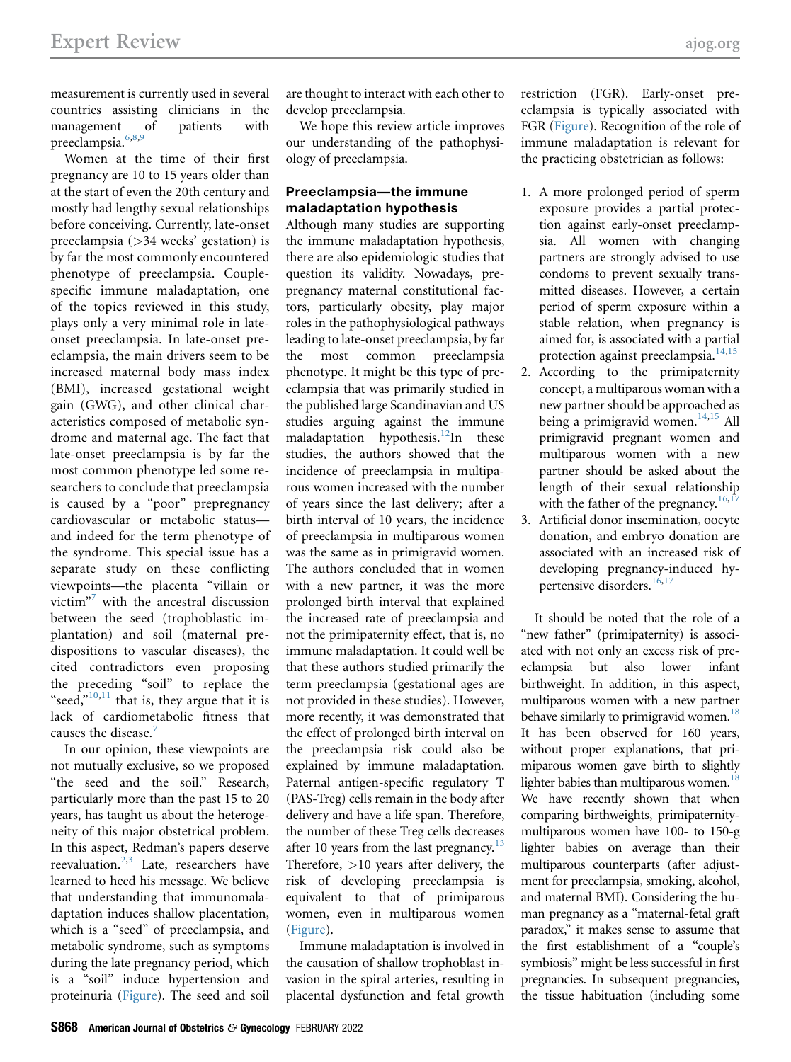measurement is currently used in several countries assisting clinicians in the management of patients with preeclampsia.<sup>[6](#page-7-1)[,8](#page-7-2),[9](#page-7-3)</sup>

Women at the time of their first pregnancy are 10 to 15 years older than at the start of even the 20th century and mostly had lengthy sexual relationships before conceiving. Currently, late-onset preeclampsia (>34 weeks' gestation) is by far the most commonly encountered phenotype of preeclampsia. Couplespecific immune maladaptation, one of the topics reviewed in this study, plays only a very minimal role in lateonset preeclampsia. In late-onset preeclampsia, the main drivers seem to be increased maternal body mass index (BMI), increased gestational weight gain (GWG), and other clinical characteristics composed of metabolic syndrome and maternal age. The fact that late-onset preeclampsia is by far the most common phenotype led some researchers to conclude that preeclampsia is caused by a "poor" prepregnancy cardiovascular or metabolic status and indeed for the term phenotype of the syndrome. This special issue has a separate study on these conflicting viewpoints—the placenta "villain or victim" [7](#page-7-0) with the ancestral discussion between the seed (trophoblastic implantation) and soil (maternal predispositions to vascular diseases), the cited contradictors even proposing the preceding "soil" to replace the "seed," $10,11$  $10,11$  that is, they argue that it is lack of cardiometabolic fitness that causes the disease.<sup>[7](#page-7-0)</sup>

In our opinion, these viewpoints are not mutually exclusive, so we proposed "the seed and the soil." Research, particularly more than the past 15 to 20 years, has taught us about the heterogeneity of this major obstetrical problem. In this aspect, Redman's papers deserve reevaluation.<sup>[2](#page-6-1)[,3](#page-6-2)</sup> Late, researchers have learned to heed his message. We believe that understanding that immunomaladaptation induces shallow placentation, which is a "seed" of preeclampsia, and metabolic syndrome, such as symptoms during the late pregnancy period, which is a "soil" induce hypertension and proteinuria [\(Figure](#page-2-0)). The seed and soil

are thought to interact with each other to develop preeclampsia.

We hope this review article improves our understanding of the pathophysiology of preeclampsia.

## Preeclampsia—the immune maladaptation hypothesis

Although many studies are supporting the immune maladaptation hypothesis, there are also epidemiologic studies that question its validity. Nowadays, prepregnancy maternal constitutional factors, particularly obesity, play major roles in the pathophysiological pathways leading to late-onset preeclampsia, by far the most common preeclampsia phenotype. It might be this type of preeclampsia that was primarily studied in the published large Scandinavian and US studies arguing against the immune maladaptation hypothesis.<sup>12</sup>In these studies, the authors showed that the incidence of preeclampsia in multiparous women increased with the number of years since the last delivery; after a birth interval of 10 years, the incidence of preeclampsia in multiparous women was the same as in primigravid women. The authors concluded that in women with a new partner, it was the more prolonged birth interval that explained the increased rate of preeclampsia and not the primipaternity effect, that is, no immune maladaptation. It could well be that these authors studied primarily the term preeclampsia (gestational ages are not provided in these studies). However, more recently, it was demonstrated that the effect of prolonged birth interval on the preeclampsia risk could also be explained by immune maladaptation. Paternal antigen-specific regulatory T (PAS-Treg) cells remain in the body after delivery and have a life span. Therefore, the number of these Treg cells decreases after 10 years from the last pregnancy.<sup>[13](#page-7-7)</sup> Therefore, >10 years after delivery, the risk of developing preeclampsia is equivalent to that of primiparous women, even in multiparous women ([Figure](#page-2-0)).

Immune maladaptation is involved in the causation of shallow trophoblast invasion in the spiral arteries, resulting in placental dysfunction and fetal growth restriction (FGR). Early-onset preeclampsia is typically associated with FGR ([Figure\)](#page-2-0). Recognition of the role of immune maladaptation is relevant for the practicing obstetrician as follows:

- 1. A more prolonged period of sperm exposure provides a partial protection against early-onset preeclampsia. All women with changing partners are strongly advised to use condoms to prevent sexually transmitted diseases. However, a certain period of sperm exposure within a stable relation, when pregnancy is aimed for, is associated with a partial protection against preeclampsia.<sup>[14](#page-7-8)[,15](#page-7-9)</sup>
- 2. According to the primipaternity concept, a multiparous woman with a new partner should be approached as being a primigravid women.<sup>14[,15](#page-7-9)</sup> All primigravid pregnant women and multiparous women with a new partner should be asked about the length of their sexual relationship with the father of the pregnancy.<sup>[16](#page-7-10),[17](#page-7-11)</sup>
- 3. Artificial donor insemination, oocyte donation, and embryo donation are associated with an increased risk of developing pregnancy-induced hy-pertensive disorders.<sup>[16,](#page-7-10)[17](#page-7-11)</sup>

It should be noted that the role of a "new father" (primipaternity) is associated with not only an excess risk of preeclampsia but also lower infant birthweight. In addition, in this aspect, multiparous women with a new partner behave similarly to primigravid women.<sup>18</sup> It has been observed for 160 years, without proper explanations, that primiparous women gave birth to slightly lighter babies than multiparous women.<sup>18</sup> We have recently shown that when comparing birthweights, primipaternitymultiparous women have 100- to 150-g lighter babies on average than their multiparous counterparts (after adjustment for preeclampsia, smoking, alcohol, and maternal BMI). Considering the human pregnancy as a "maternal-fetal graft paradox," it makes sense to assume that the first establishment of a "couple's symbiosis" might be less successful in first pregnancies. In subsequent pregnancies, the tissue habituation (including some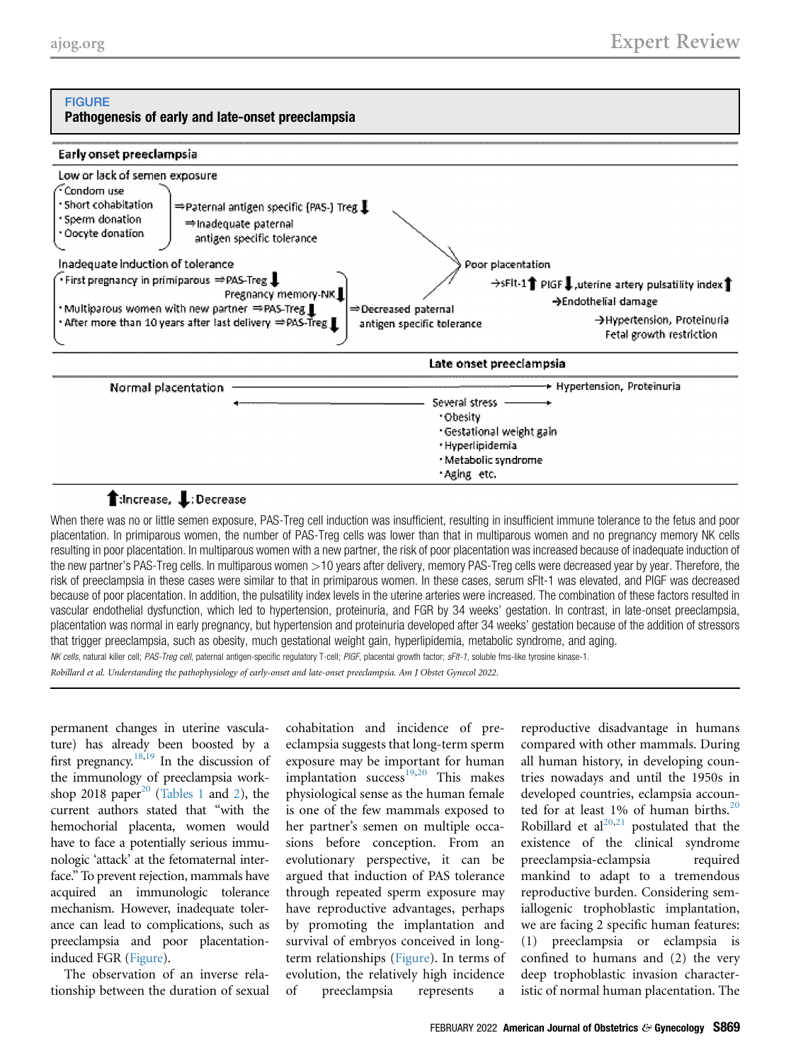#### <span id="page-2-0"></span>**FIGURE** Pathogenesis of early and late-onset preeclampsia



## t:Increase, L:Decrease

When there was no or little semen exposure, PAS-Treg cell induction was insufficient, resulting in insufficient immune tolerance to the fetus and poor placentation. In primiparous women, the number of PAS-Treg cells was lower than that in multiparous women and no pregnancy memory NK cells resulting in poor placentation. In multiparous women with a new partner, the risk of poor placentation was increased because of inadequate induction of the new partner's PAS-Treg cells. In multiparous women >10 years after delivery, memory PAS-Treg cells were decreased year by year. Therefore, the risk of preeclampsia in these cases were similar to that in primiparous women. In these cases, serum sFlt-1 was elevated, and PlGF was decreased because of poor placentation. In addition, the pulsatility index levels in the uterine arteries were increased. The combination of these factors resulted in vascular endothelial dysfunction, which led to hypertension, proteinuria, and FGR by 34 weeks' gestation. In contrast, in late-onset preeclampsia, placentation was normal in early pregnancy, but hypertension and proteinuria developed after 34 weeks' gestation because of the addition of stressors that trigger preeclampsia, such as obesity, much gestational weight gain, hyperlipidemia, metabolic syndrome, and aging. NK cells, natural killer cell; PAS-Treg cell, paternal antigen-specific regulatory T-cell; PIGF, placental growth factor; sFIt-1, soluble fms-like tyrosine kinase-1.

Robillard et al. Understanding the pathophysiology of early-onset and late-onset preeclampsia. Am J Obstet Gynecol 2022.

permanent changes in uterine vasculature) has already been boosted by a first pregnancy.<sup>18,[19](#page-7-13)</sup> In the discussion of the immunology of preeclampsia work-shop [20](#page-7-14)18 paper<sup>20</sup> ([Tables 1](#page-3-0) and [2\)](#page-3-1), the current authors stated that "with the hemochorial placenta, women would have to face a potentially serious immunologic 'attack' at the fetomaternal interface." To prevent rejection, mammals have acquired an immunologic tolerance mechanism. However, inadequate tolerance can lead to complications, such as preeclampsia and poor placentationinduced FGR [\(Figure\)](#page-2-0).

The observation of an inverse relationship between the duration of sexual cohabitation and incidence of preeclampsia suggests that long-term sperm exposure may be important for human implantation success<sup>[19](#page-7-13),[20](#page-7-14)</sup> This makes physiological sense as the human female is one of the few mammals exposed to her partner's semen on multiple occasions before conception. From an evolutionary perspective, it can be argued that induction of PAS tolerance through repeated sperm exposure may have reproductive advantages, perhaps by promoting the implantation and survival of embryos conceived in longterm relationships ([Figure](#page-2-0)). In terms of evolution, the relatively high incidence of preeclampsia represents

reproductive disadvantage in humans compared with other mammals. During all human history, in developing countries nowadays and until the 1950s in developed countries, eclampsia accounted for at least 1% of human births. $20$ Robillard et  $al^{20,21}$  $al^{20,21}$  $al^{20,21}$  $al^{20,21}$  postulated that the existence of the clinical syndrome preeclampsia-eclampsia required mankind to adapt to a tremendous reproductive burden. Considering semiallogenic trophoblastic implantation, we are facing 2 specific human features: (1) preeclampsia or eclampsia is confined to humans and (2) the very deep trophoblastic invasion characteristic of normal human placentation. The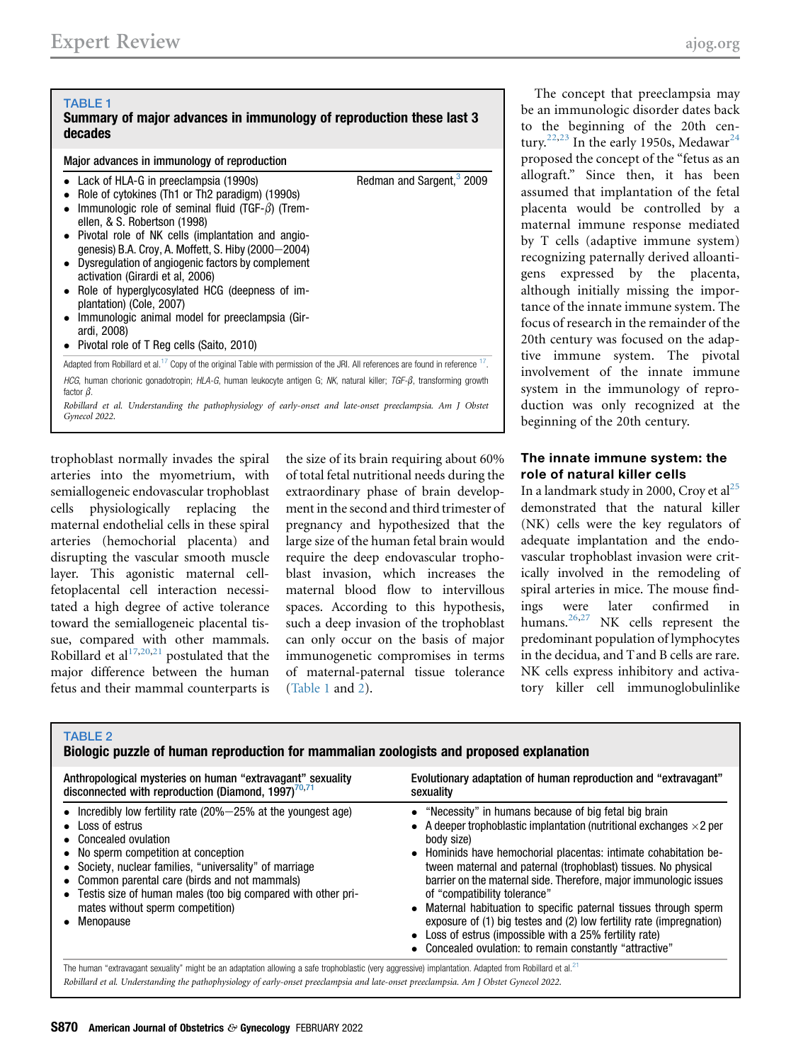#### <span id="page-3-0"></span>TABLE 1 Summary of major advances in immunology of reproduction these last 3 decades Major advances in immunology of reproduction • Lack of HLA-G in preeclampsia (1990s) Role of cytokines (Th1 or Th2 paradigm) (1990s) Immunologic role of seminal fluid (TGF- $\beta$ ) (Tremellen, & S. Robertson (1998) Pivotal role of NK cells (implantation and angiogenesis) B.A. Croy, A. Moffett, S. Hiby (2000-2004) Dysregulation of angiogenic factors by complement activation (Girardi et al, 2006) Role of hyperglycosylated HCG (deepness of implantation) (Cole, 2007) Immunologic animal model for preeclampsia (Girardi, 2008) • Pivotal role of T Reg cells (Saito, 2010) Redman and Sargent, $3$  2009 Adapted from Robillard et al.<sup>[17](#page-7-11)</sup> Copy of the original Table with permission of the JRI. All references are found in reference <sup>17</sup>. HCG, human chorionic gonadotropin; HLA-G, human leukocyte antigen G; NK, natural killer; TGF- $\beta$ , transforming growth factor  $\beta$ .

Robillard et al. Understanding the pathophysiology of early-onset and late-onset preeclampsia. Am J Obstet Gynecol 2022.

trophoblast normally invades the spiral arteries into the myometrium, with semiallogeneic endovascular trophoblast cells physiologically replacing the maternal endothelial cells in these spiral arteries (hemochorial placenta) and disrupting the vascular smooth muscle layer. This agonistic maternal cellfetoplacental cell interaction necessitated a high degree of active tolerance toward the semiallogeneic placental tissue, compared with other mammals. Robillard et al $17,20,21$  $17,20,21$  $17,20,21$  postulated that the major difference between the human fetus and their mammal counterparts is

the size of its brain requiring about 60% of total fetal nutritional needs during the extraordinary phase of brain development in the second and third trimester of pregnancy and hypothesized that the large size of the human fetal brain would require the deep endovascular trophoblast invasion, which increases the maternal blood flow to intervillous spaces. According to this hypothesis, such a deep invasion of the trophoblast can only occur on the basis of major immunogenetic compromises in terms of maternal-paternal tissue tolerance ([Table 1](#page-3-0) and [2\)](#page-3-1).

The concept that preeclampsia may be an immunologic disorder dates back to the beginning of the 20th cen-tury.<sup>[22,](#page-7-16)[23](#page-7-17)</sup> In the early 1950s, Medawar<sup>[24](#page-7-18)</sup> proposed the concept of the "fetus as an allograft." Since then, it has been assumed that implantation of the fetal placenta would be controlled by a maternal immune response mediated by T cells (adaptive immune system) recognizing paternally derived alloantigens expressed by the placenta, although initially missing the importance of the innate immune system. The focus of research in the remainder of the 20th century was focused on the adaptive immune system. The pivotal involvement of the innate immune system in the immunology of reproduction was only recognized at the beginning of the 20th century.

## The innate immune system: the role of natural killer cells

In a landmark study in 2000, Croy et  $al<sup>25</sup>$  $al<sup>25</sup>$  $al<sup>25</sup>$ demonstrated that the natural killer (NK) cells were the key regulators of adequate implantation and the endovascular trophoblast invasion were critically involved in the remodeling of spiral arteries in mice. The mouse findings were later confirmed in humans.<sup>[26](#page-7-20),[27](#page-7-21)</sup> NK cells represent the predominant population of lymphocytes in the decidua, and T and B cells are rare. NK cells express inhibitory and activatory killer cell immunoglobulinlike

#### <span id="page-3-1"></span>TARI F 2

#### Biologic puzzle of human reproduction for mammalian zoologists and proposed explanation

| Anthropological mysteries on human "extravagant" sexuality                                                                                                                                                                                                                                                                                                                                         | Evolutionary adaptation of human reproduction and "extravagant"                                                                                                                                                                                                                                                                                                                                                                                                                                                                                                                                                                                                    |  |
|----------------------------------------------------------------------------------------------------------------------------------------------------------------------------------------------------------------------------------------------------------------------------------------------------------------------------------------------------------------------------------------------------|--------------------------------------------------------------------------------------------------------------------------------------------------------------------------------------------------------------------------------------------------------------------------------------------------------------------------------------------------------------------------------------------------------------------------------------------------------------------------------------------------------------------------------------------------------------------------------------------------------------------------------------------------------------------|--|
| disconnected with reproduction (Diamond, $1997$ ) <sup>70,71</sup>                                                                                                                                                                                                                                                                                                                                 | sexuality                                                                                                                                                                                                                                                                                                                                                                                                                                                                                                                                                                                                                                                          |  |
| • Incredibly low fertility rate $(20\% - 25\%$ at the youngest age)<br>$\bullet$ Loss of estrus<br>• Concealed ovulation<br>• No sperm competition at conception<br>• Society, nuclear families, "universality" of marriage<br>• Common parental care (birds and not mammals)<br>• Testis size of human males (too big compared with other pri-<br>mates without sperm competition)<br>• Menopause | • "Necessity" in humans because of big fetal big brain<br>• A deeper trophoblastic implantation (nutritional exchanges $\times$ 2 per<br>body size)<br>• Hominids have hemochorial placentas: intimate cohabitation be-<br>tween maternal and paternal (trophoblast) tissues. No physical<br>barrier on the maternal side. Therefore, major immunologic issues<br>of "compatibility tolerance"<br>• Maternal habituation to specific paternal tissues through sperm<br>exposure of (1) big testes and (2) low fertility rate (impregnation)<br>• Loss of estrus (impossible with a 25% fertility rate)<br>• Concealed ovulation: to remain constantly "attractive" |  |

The human "extravagant sexuality" might be an adaptation allowing a safe trophoblastic (very aggressive) implantation. Adapted from Robillard et al.<sup>[21](#page-7-15)</sup> Robillard et al. Understanding the pathophysiology of early-onset preeclampsia and late-onset preeclampsia. Am J Obstet Gynecol 2022.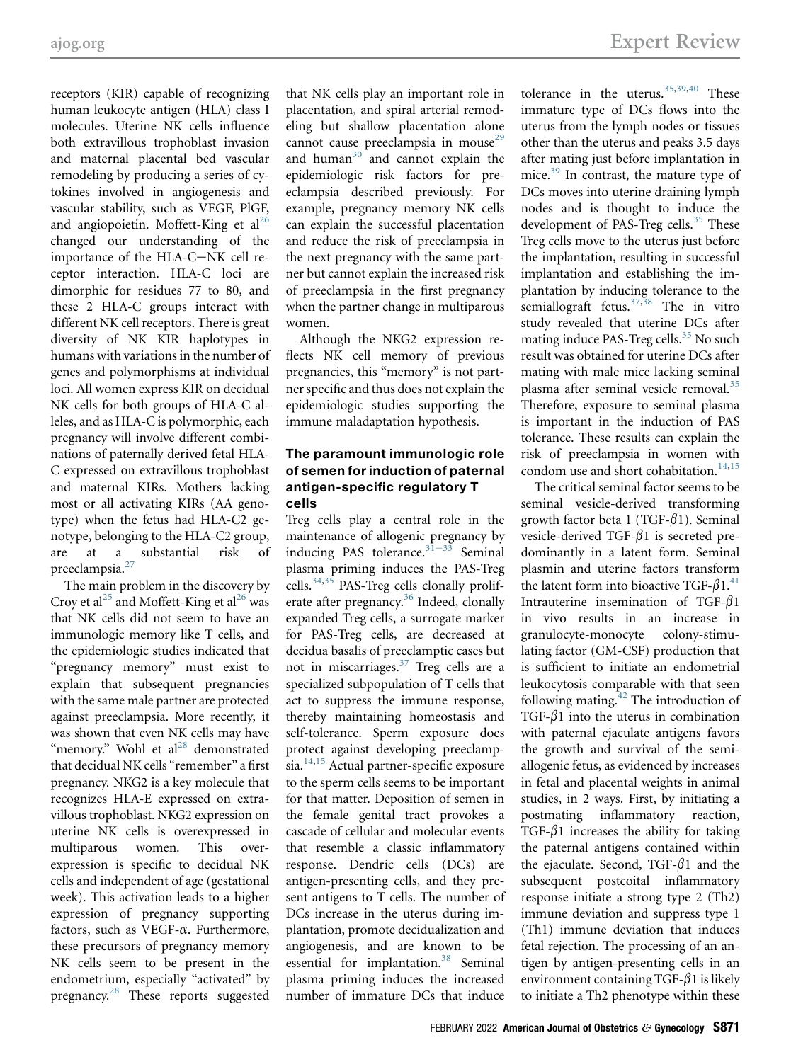receptors (KIR) capable of recognizing human leukocyte antigen (HLA) class I molecules. Uterine NK cells influence both extravillous trophoblast invasion and maternal placental bed vascular remodeling by producing a series of cytokines involved in angiogenesis and vascular stability, such as VEGF, PlGF, and angiopoietin. Moffett-King et  $al^{26}$  $al^{26}$  $al^{26}$ changed our understanding of the importance of the HLA-C-NK cell receptor interaction. HLA-C loci are dimorphic for residues 77 to 80, and these 2 HLA-C groups interact with different NK cell receptors. There is great diversity of NK KIR haplotypes in humans with variations in the number of genes and polymorphisms at individual loci. All women express KIR on decidual NK cells for both groups of HLA-C alleles, and as HLA-C is polymorphic, each pregnancy will involve different combinations of paternally derived fetal HLA-C expressed on extravillous trophoblast and maternal KIRs. Mothers lacking most or all activating KIRs (AA genotype) when the fetus had HLA-C2 genotype, belonging to the HLA-C2 group, are at a substantial risk of preeclampsia.<sup>[27](#page-7-21)</sup>

The main problem in the discovery by Croy et al<sup>[25](#page-7-19)</sup> and Moffett-King et al<sup>[26](#page-7-20)</sup> was that NK cells did not seem to have an immunologic memory like T cells, and the epidemiologic studies indicated that "pregnancy memory" must exist to explain that subsequent pregnancies with the same male partner are protected against preeclampsia. More recently, it was shown that even NK cells may have "memory." Wohl et al<sup>[28](#page-7-22)</sup> demonstrated that decidual NK cells "remember" a first pregnancy. NKG2 is a key molecule that recognizes HLA-E expressed on extravillous trophoblast. NKG2 expression on uterine NK cells is overexpressed in multiparous women. This overexpression is specific to decidual NK cells and independent of age (gestational week). This activation leads to a higher expression of pregnancy supporting factors, such as VEGF-a. Furthermore, these precursors of pregnancy memory NK cells seem to be present in the endometrium, especially "activated" by pregnancy.[28](#page-7-22) These reports suggested

that NK cells play an important role in placentation, and spiral arterial remodeling but shallow placentation alone cannot cause preeclampsia in mouse<sup>[29](#page-7-23)</sup> and human<sup>[30](#page-7-24)</sup> and cannot explain the epidemiologic risk factors for preeclampsia described previously. For example, pregnancy memory NK cells can explain the successful placentation and reduce the risk of preeclampsia in the next pregnancy with the same partner but cannot explain the increased risk of preeclampsia in the first pregnancy when the partner change in multiparous women.

Although the NKG2 expression reflects NK cell memory of previous pregnancies, this "memory" is not partner specific and thus does not explain the epidemiologic studies supporting the immune maladaptation hypothesis.

## The paramount immunologic role of semen for induction of paternal antigen-specific regulatory T cells

Treg cells play a central role in the maintenance of allogenic pregnancy by inducing PAS tolerance. $3\overline{1}$ <sup>-33</sup> Seminal plasma priming induces the PAS-Treg cells.<sup>[34,](#page-7-26)[35](#page-7-27)</sup> PAS-Treg cells clonally prolif-erate after pregnancy.<sup>[36](#page-7-28)</sup> Indeed, clonally expanded Treg cells, a surrogate marker for PAS-Treg cells, are decreased at decidua basalis of preeclamptic cases but not in miscarriages.[37](#page-7-29) Treg cells are a specialized subpopulation of T cells that act to suppress the immune response, thereby maintaining homeostasis and self-tolerance. Sperm exposure does protect against developing preeclamp-sia.<sup>[14](#page-7-8),[15](#page-7-9)</sup> Actual partner-specific exposure to the sperm cells seems to be important for that matter. Deposition of semen in the female genital tract provokes a cascade of cellular and molecular events that resemble a classic inflammatory response. Dendric cells (DCs) are antigen-presenting cells, and they present antigens to T cells. The number of DCs increase in the uterus during implantation, promote decidualization and angiogenesis, and are known to be essential for implantation.<sup>38</sup> Seminal plasma priming induces the increased number of immature DCs that induce

tolerance in the uterus.  $35,39,40$  $35,39,40$  $35,39,40$  $35,39,40$  $35,39,40$  These immature type of DCs flows into the uterus from the lymph nodes or tissues other than the uterus and peaks 3.5 days after mating just before implantation in mice. $39$  In contrast, the mature type of DCs moves into uterine draining lymph nodes and is thought to induce the development of PAS-Treg cells.<sup>[35](#page-7-27)</sup> These Treg cells move to the uterus just before the implantation, resulting in successful implantation and establishing the implantation by inducing tolerance to the semiallograft fetus.<sup>[37](#page-7-29)[,38](#page-7-30)</sup> The in vitro study revealed that uterine DCs after mating induce PAS-Treg cells.<sup>[35](#page-7-27)</sup> No such result was obtained for uterine DCs after mating with male mice lacking seminal plasma after seminal vesicle removal.<sup>[35](#page-7-27)</sup> Therefore, exposure to seminal plasma is important in the induction of PAS tolerance. These results can explain the risk of preeclampsia in women with condom use and short cohabitation.<sup>[14](#page-7-8),[15](#page-7-9)</sup>

The critical seminal factor seems to be seminal vesicle-derived transforming growth factor beta 1 (TGF- $\beta$ 1). Seminal vesicle-derived TGF- $\beta$ 1 is secreted predominantly in a latent form. Seminal plasmin and uterine factors transform the latent form into bioactive TGF- $\beta1.^{41}$  $\beta1.^{41}$  $\beta1.^{41}$ . Intrauterine insemination of TGF- $\beta$ 1 in vivo results in an increase in granulocyte-monocyte colony-stimulating factor (GM-CSF) production that is sufficient to initiate an endometrial leukocytosis comparable with that seen following mating. $42$  The introduction of TGF- $\beta$ 1 into the uterus in combination with paternal ejaculate antigens favors the growth and survival of the semiallogenic fetus, as evidenced by increases in fetal and placental weights in animal studies, in 2 ways. First, by initiating a postmating inflammatory reaction, TGF- $\beta$ 1 increases the ability for taking the paternal antigens contained within the ejaculate. Second, TGF- $\beta$ 1 and the subsequent postcoital inflammatory response initiate a strong type 2 (Th2) immune deviation and suppress type 1 (Th1) immune deviation that induces fetal rejection. The processing of an antigen by antigen-presenting cells in an environment containing TGF- $\beta$ 1 is likely to initiate a Th2 phenotype within these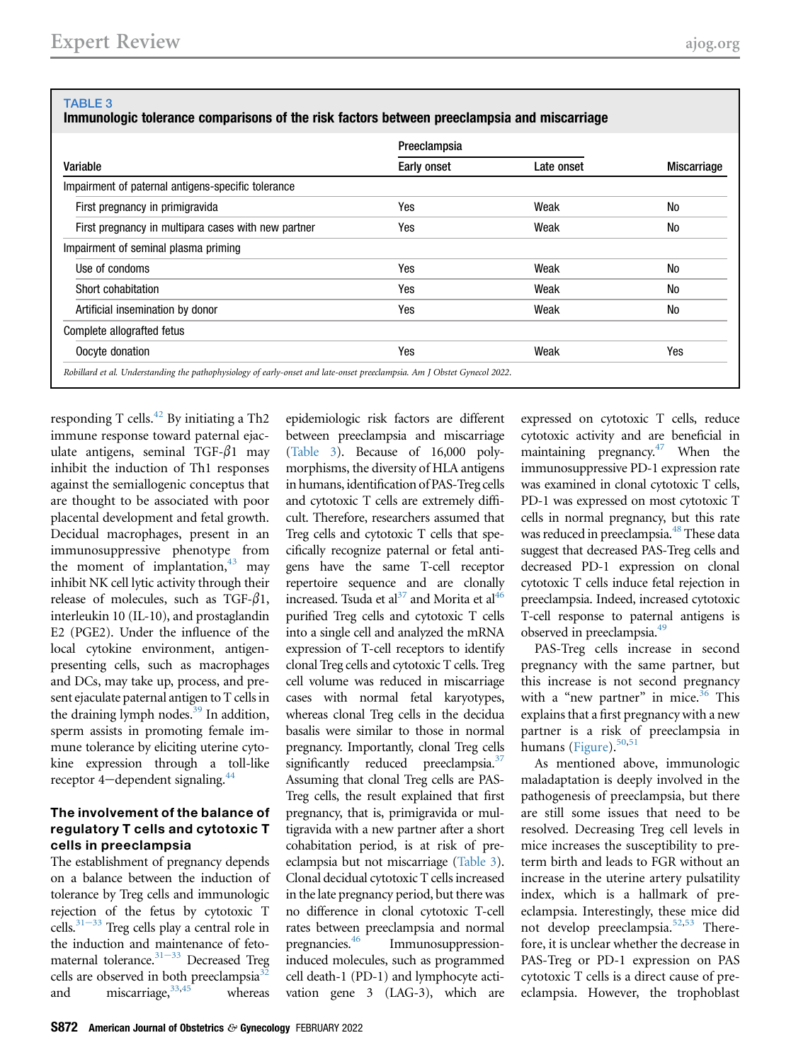## <span id="page-5-0"></span>TABLE 3

Immunologic tolerance comparisons of the risk factors between preeclampsia and miscarriage

| Variable                                            | Preeclampsia |            |                    |
|-----------------------------------------------------|--------------|------------|--------------------|
|                                                     | Early onset  | Late onset | <b>Miscarriage</b> |
| Impairment of paternal antigens-specific tolerance  |              |            |                    |
| First pregnancy in primigravida                     | Yes          | Weak       | No                 |
| First pregnancy in multipara cases with new partner | Yes          | Weak       | No                 |
| Impairment of seminal plasma priming                |              |            |                    |
| Use of condoms                                      | Yes          | Weak       | No                 |
| Short cohabitation                                  | Yes          | Weak       | No                 |
| Artificial insemination by donor                    | Yes          | Weak       | No                 |
| Complete allografted fetus                          |              |            |                    |
| Oocyte donation                                     | Yes          | Weak       | Yes                |

responding T cells. $^{42}$  $^{42}$  $^{42}$  By initiating a Th2 immune response toward paternal ejaculate antigens, seminal TGF- $\beta$ 1 may inhibit the induction of Th1 responses against the semiallogenic conceptus that are thought to be associated with poor placental development and fetal growth. Decidual macrophages, present in an immunosuppressive phenotype from the moment of implantation, $43$  may inhibit NK cell lytic activity through their release of molecules, such as TGF- $\beta$ 1, interleukin 10 (IL-10), and prostaglandin E2 (PGE2). Under the influence of the local cytokine environment, antigenpresenting cells, such as macrophages and DCs, may take up, process, and present ejaculate paternal antigen to T cells in the draining lymph nodes. $39$  In addition, sperm assists in promoting female immune tolerance by eliciting uterine cytokine expression through a toll-like receptor 4-dependent signaling.<sup>44</sup>

## The involvement of the balance of regulatory T cells and cytotoxic T cells in preeclampsia

The establishment of pregnancy depends on a balance between the induction of tolerance by Treg cells and immunologic rejection of the fetus by cytotoxic T cells. $31-33$  Treg cells play a central role in the induction and maintenance of fetomaternal tolerance. $31-33$  $31-33$  Decreased Treg cells are observed in both preeclampsia<sup>3</sup> and miscarriage,  $33,45$  $33,45$  whereas

epidemiologic risk factors are different between preeclampsia and miscarriage ([Table 3](#page-5-0)). Because of 16,000 polymorphisms, the diversity of HLA antigens in humans, identification of PAS-Treg cells and cytotoxic T cells are extremely difficult. Therefore, researchers assumed that Treg cells and cytotoxic T cells that specifically recognize paternal or fetal antigens have the same T-cell receptor repertoire sequence and are clonally increased. Tsuda et al<sup>[37](#page-7-29)</sup> and Morita et al<sup>[46](#page-7-40)</sup> purified Treg cells and cytotoxic T cells into a single cell and analyzed the mRNA expression of T-cell receptors to identify clonal Treg cells and cytotoxic T cells. Treg cell volume was reduced in miscarriage cases with normal fetal karyotypes, whereas clonal Treg cells in the decidua basalis were similar to those in normal pregnancy. Importantly, clonal Treg cells significantly reduced preeclampsia.<sup>[37](#page-7-29)</sup> Assuming that clonal Treg cells are PAS-Treg cells, the result explained that first pregnancy, that is, primigravida or multigravida with a new partner after a short cohabitation period, is at risk of preeclampsia but not miscarriage [\(Table 3\)](#page-5-0). Clonal decidual cytotoxic T cells increased in the late pregnancy period, but there was no difference in clonal cytotoxic T-cell rates between preeclampsia and normal pregnancies.[46](#page-7-40) Immunosuppressioninduced molecules, such as programmed cell death-1 (PD-1) and lymphocyte activation gene 3 (LAG-3), which are

expressed on cytotoxic T cells, reduce cytotoxic activity and are beneficial in maintaining pregnancy. $47$  When the immunosuppressive PD-1 expression rate was examined in clonal cytotoxic T cells, PD-1 was expressed on most cytotoxic T cells in normal pregnancy, but this rate was reduced in preeclampsia.<sup>[48](#page-7-42)</sup> These data suggest that decreased PAS-Treg cells and decreased PD-1 expression on clonal cytotoxic T cells induce fetal rejection in preeclampsia. Indeed, increased cytotoxic T-cell response to paternal antigens is observed in preeclampsia.<sup>49</sup>

PAS-Treg cells increase in second pregnancy with the same partner, but this increase is not second pregnancy with a "new partner" in mice. $36$  This explains that a first pregnancy with a new partner is a risk of preeclampsia in humans ([Figure](#page-2-0)).<sup>[50](#page-7-44)[,51](#page-8-2)</sup>

As mentioned above, immunologic maladaptation is deeply involved in the pathogenesis of preeclampsia, but there are still some issues that need to be resolved. Decreasing Treg cell levels in mice increases the susceptibility to preterm birth and leads to FGR without an increase in the uterine artery pulsatility index, which is a hallmark of preeclampsia. Interestingly, these mice did not develop preeclampsia.[52](#page-8-3),[53](#page-8-4) Therefore, it is unclear whether the decrease in PAS-Treg or PD-1 expression on PAS cytotoxic T cells is a direct cause of preeclampsia. However, the trophoblast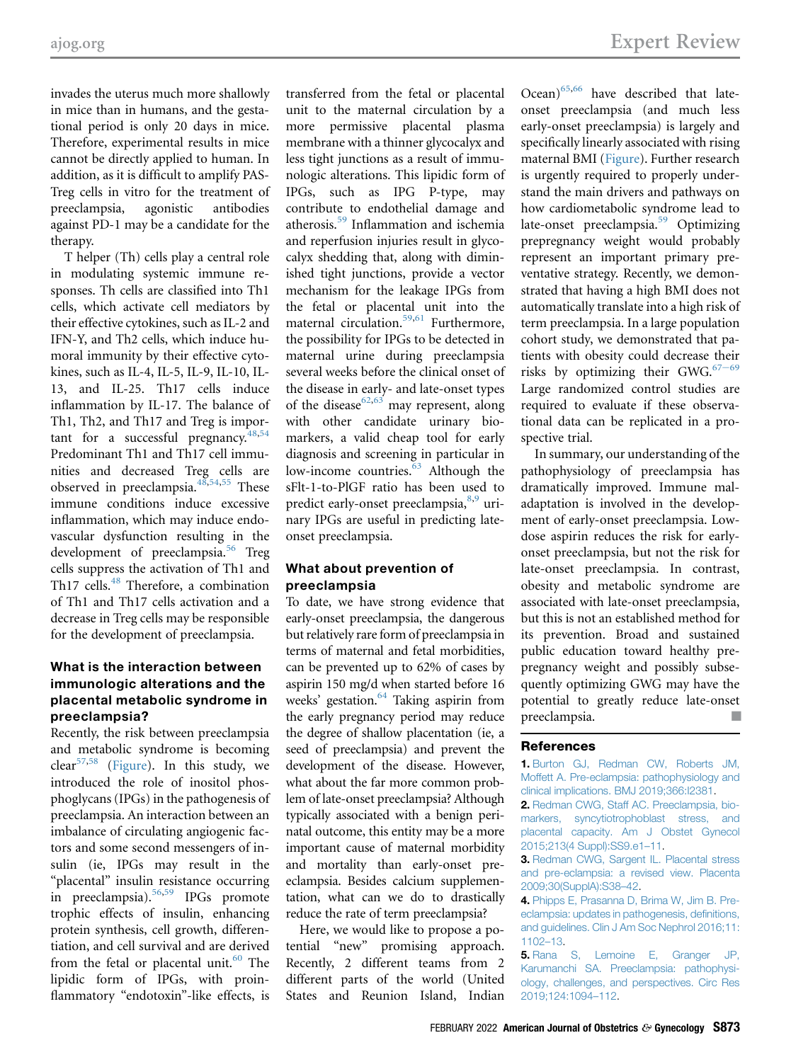invades the uterus much more shallowly in mice than in humans, and the gestational period is only 20 days in mice. Therefore, experimental results in mice cannot be directly applied to human. In addition, as it is difficult to amplify PAS-Treg cells in vitro for the treatment of preeclampsia, agonistic antibodies against PD-1 may be a candidate for the therapy.

T helper (Th) cells play a central role in modulating systemic immune responses. Th cells are classified into Th1 cells, which activate cell mediators by their effective cytokines, such as IL-2 and IFN-Y, and Th2 cells, which induce humoral immunity by their effective cytokines, such as IL-4, IL-5, IL-9, IL-10, IL-13, and IL-25. Th17 cells induce inflammation by IL-17. The balance of Th1, Th2, and Th17 and Treg is important for a successful pregnancy. $48,54$  $48,54$ Predominant Th1 and Th17 cell immunities and decreased Treg cells are observed in preeclampsia. $48,54,55$  $48,54,55$  $48,54,55$  These immune conditions induce excessive inflammation, which may induce endovascular dysfunction resulting in the development of preeclampsia.<sup>[56](#page-8-7)</sup> Treg cells suppress the activation of Th1 and Th17 cells.<sup>[48](#page-7-42)</sup> Therefore, a combination of Th1 and Th17 cells activation and a decrease in Treg cells may be responsible for the development of preeclampsia.

## What is the interaction between immunologic alterations and the placental metabolic syndrome in preeclampsia?

Recently, the risk between preeclampsia and metabolic syndrome is becoming clear<sup>[57,](#page-8-8)[58](#page-8-9)</sup> ([Figure\)](#page-2-0). In this study, we introduced the role of inositol phosphoglycans (IPGs) in the pathogenesis of preeclampsia. An interaction between an imbalance of circulating angiogenic factors and some second messengers of insulin (ie, IPGs may result in the "placental" insulin resistance occurring in preeclampsia).<sup>[56,](#page-8-7)[59](#page-8-10)</sup> IPGs promote trophic effects of insulin, enhancing protein synthesis, cell growth, differentiation, and cell survival and are derived from the fetal or placental unit. $60$  The lipidic form of IPGs, with proinflammatory "endotoxin"-like effects, is

transferred from the fetal or placental unit to the maternal circulation by a more permissive placental plasma membrane with a thinner glycocalyx and less tight junctions as a result of immunologic alterations. This lipidic form of IPGs, such as IPG P-type, may contribute to endothelial damage and atherosis.[59](#page-8-10) Inflammation and ischemia and reperfusion injuries result in glycocalyx shedding that, along with diminished tight junctions, provide a vector mechanism for the leakage IPGs from the fetal or placental unit into the maternal circulation.[59](#page-8-10)[,61](#page-8-12) Furthermore, the possibility for IPGs to be detected in maternal urine during preeclampsia several weeks before the clinical onset of the disease in early- and late-onset types of the disease<sup>[62](#page-8-13)[,63](#page-8-14)</sup> may represent, along with other candidate urinary biomarkers, a valid cheap tool for early diagnosis and screening in particular in low-income countries.<sup>63</sup> Although the sFlt-1-to-PlGF ratio has been used to predict early-onset preeclampsia,<sup>[8,](#page-7-2)[9](#page-7-3)</sup> urinary IPGs are useful in predicting lateonset preeclampsia.

## What about prevention of preeclampsia

To date, we have strong evidence that early-onset preeclampsia, the dangerous but relatively rare form of preeclampsia in terms of maternal and fetal morbidities, can be prevented up to 62% of cases by aspirin 150 mg/d when started before 16 weeks' gestation.<sup>64</sup> Taking aspirin from the early pregnancy period may reduce the degree of shallow placentation (ie, a seed of preeclampsia) and prevent the development of the disease. However, what about the far more common problem of late-onset preeclampsia? Although typically associated with a benign perinatal outcome, this entity may be a more important cause of maternal morbidity and mortality than early-onset preeclampsia. Besides calcium supplementation, what can we do to drastically reduce the rate of term preeclampsia?

Here, we would like to propose a potential "new" promising approach. Recently, 2 different teams from 2 different parts of the world (United States and Reunion Island, Indian

Ocean)<sup>[65](#page-8-16)[,66](#page-8-17)</sup> have described that lateonset preeclampsia (and much less early-onset preeclampsia) is largely and specifically linearly associated with rising maternal BMI ([Figure\)](#page-2-0). Further research is urgently required to properly understand the main drivers and pathways on how cardiometabolic syndrome lead to late-onset preeclampsia.<sup>[59](#page-8-10)</sup> Optimizing prepregnancy weight would probably represent an important primary preventative strategy. Recently, we demonstrated that having a high BMI does not automatically translate into a high risk of term preeclampsia. In a large population cohort study, we demonstrated that patients with obesity could decrease their risks by optimizing their GWG. $67-69$  $67-69$ Large randomized control studies are required to evaluate if these observational data can be replicated in a prospective trial.

In summary, our understanding of the pathophysiology of preeclampsia has dramatically improved. Immune maladaptation is involved in the development of early-onset preeclampsia. Lowdose aspirin reduces the risk for earlyonset preeclampsia, but not the risk for late-onset preeclampsia. In contrast, obesity and metabolic syndrome are associated with late-onset preeclampsia, but this is not an established method for its prevention. Broad and sustained public education toward healthy prepregnancy weight and possibly subsequently optimizing GWG may have the potential to greatly reduce late-onset preeclampsia.

## <span id="page-6-0"></span>**References**

1. [Burton GJ, Redman CW, Roberts JM,](http://refhub.elsevier.com/S0002-9378(21)01213-8/sref1) [Moffett A. Pre-eclampsia: pathophysiology and](http://refhub.elsevier.com/S0002-9378(21)01213-8/sref1) [clinical implications. BMJ 2019;366:I2381.](http://refhub.elsevier.com/S0002-9378(21)01213-8/sref1)

<span id="page-6-1"></span>2. [Redman CWG, Staff AC. Preeclampsia, bio](http://refhub.elsevier.com/S0002-9378(21)01213-8/sref2)[markers, syncytiotrophoblast stress, and](http://refhub.elsevier.com/S0002-9378(21)01213-8/sref2) [placental capacity. Am J Obstet Gynecol](http://refhub.elsevier.com/S0002-9378(21)01213-8/sref2) [2015;213\(4 Suppl\):SS9.e1](http://refhub.elsevier.com/S0002-9378(21)01213-8/sref2)–11.

<span id="page-6-2"></span>3. [Redman CWG, Sargent IL. Placental stress](http://refhub.elsevier.com/S0002-9378(21)01213-8/sref3) [and pre-eclampsia: a revised view. Placenta](http://refhub.elsevier.com/S0002-9378(21)01213-8/sref3) [2009;30\(SupplA\):S38](http://refhub.elsevier.com/S0002-9378(21)01213-8/sref3)–42.

4. [Phipps E, Prasanna D, Brima W, Jim B. Pre](http://refhub.elsevier.com/S0002-9378(21)01213-8/sref4)[eclampsia: updates in pathogenesis, de](http://refhub.elsevier.com/S0002-9378(21)01213-8/sref4)finitions, [and guidelines. Clin J Am Soc Nephrol 2016;11:](http://refhub.elsevier.com/S0002-9378(21)01213-8/sref4) [1102](http://refhub.elsevier.com/S0002-9378(21)01213-8/sref4)–13.

5. [Rana S, Lemoine E, Granger JP,](http://refhub.elsevier.com/S0002-9378(21)01213-8/sref5) [Karumanchi SA. Preeclampsia: pathophysi](http://refhub.elsevier.com/S0002-9378(21)01213-8/sref5)[ology, challenges, and perspectives. Circ Res](http://refhub.elsevier.com/S0002-9378(21)01213-8/sref5) [2019;124:1094](http://refhub.elsevier.com/S0002-9378(21)01213-8/sref5)–112.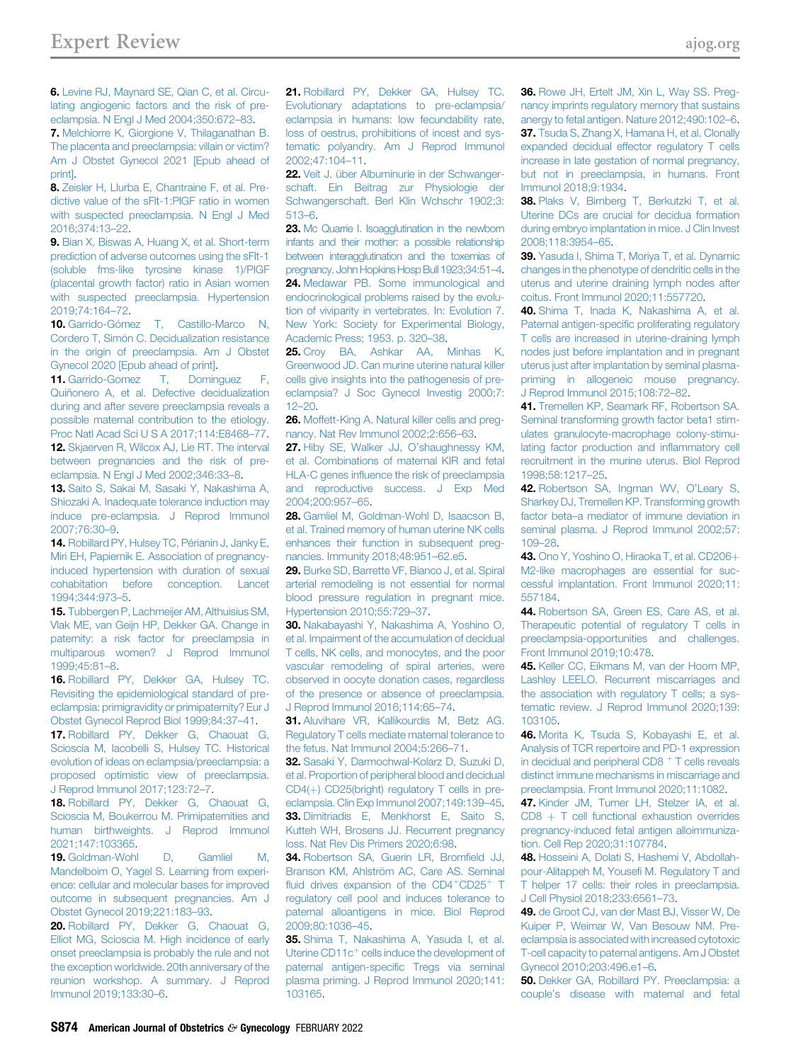<span id="page-7-1"></span>6. [Levine RJ, Maynard SE, Qian C, et al. Circu](http://refhub.elsevier.com/S0002-9378(21)01213-8/sref6)[lating angiogenic factors and the risk of pre](http://refhub.elsevier.com/S0002-9378(21)01213-8/sref6)[eclampsia. N Engl J Med 2004;350:672](http://refhub.elsevier.com/S0002-9378(21)01213-8/sref6)–83.

<span id="page-7-0"></span>7. [Melchiorre K, Giorgione V, Thilaganathan B.](http://refhub.elsevier.com/S0002-9378(21)01213-8/sref7) [The placenta and preeclampsia: villain or victim?](http://refhub.elsevier.com/S0002-9378(21)01213-8/sref7) [Am J Obstet Gynecol 2021 \[Epub ahead of](http://refhub.elsevier.com/S0002-9378(21)01213-8/sref7) [print\].](http://refhub.elsevier.com/S0002-9378(21)01213-8/sref7)

<span id="page-7-2"></span>8. [Zeisler H, Llurba E, Chantraine F, et al. Pre](http://refhub.elsevier.com/S0002-9378(21)01213-8/sref8)[dictive value of the sFlt-1:PlGF ratio in women](http://refhub.elsevier.com/S0002-9378(21)01213-8/sref8) [with suspected preeclampsia. N Engl J Med](http://refhub.elsevier.com/S0002-9378(21)01213-8/sref8) [2016;374:13](http://refhub.elsevier.com/S0002-9378(21)01213-8/sref8)–22.

<span id="page-7-3"></span>9. [Bian X, Biswas A, Huang X, et al. Short-term](http://refhub.elsevier.com/S0002-9378(21)01213-8/sref9) [prediction of adverse outcomes using the sFlt-1](http://refhub.elsevier.com/S0002-9378(21)01213-8/sref9) [\(soluble fms-like tyrosine kinase 1\)/PlGF](http://refhub.elsevier.com/S0002-9378(21)01213-8/sref9) [\(placental growth factor\) ratio in Asian women](http://refhub.elsevier.com/S0002-9378(21)01213-8/sref9) [with suspected preeclampsia. Hypertension](http://refhub.elsevier.com/S0002-9378(21)01213-8/sref9) [2019;74:164](http://refhub.elsevier.com/S0002-9378(21)01213-8/sref9)–72.

<span id="page-7-4"></span>10. [Garrido-Gómez T, Castillo-Marco N,](http://refhub.elsevier.com/S0002-9378(21)01213-8/sref10) [Cordero T, Simón C. Decidualization resistance](http://refhub.elsevier.com/S0002-9378(21)01213-8/sref10) [in the origin of preeclampsia. Am J Obstet](http://refhub.elsevier.com/S0002-9378(21)01213-8/sref10) [Gynecol 2020 \[Epub ahead of print\].](http://refhub.elsevier.com/S0002-9378(21)01213-8/sref10)

<span id="page-7-5"></span>11. [Garrido-Gomez T, Dominguez F,](http://refhub.elsevier.com/S0002-9378(21)01213-8/sref11) [Quiñonero A, et al. Defective decidualization](http://refhub.elsevier.com/S0002-9378(21)01213-8/sref11) [during and after severe preeclampsia reveals a](http://refhub.elsevier.com/S0002-9378(21)01213-8/sref11) [possible maternal contribution to the etiology.](http://refhub.elsevier.com/S0002-9378(21)01213-8/sref11) [Proc Natl Acad Sci U S A 2017;114:E8468](http://refhub.elsevier.com/S0002-9378(21)01213-8/sref11)–77.

<span id="page-7-6"></span>12. [Skjaerven R, Wilcox AJ, Lie RT. The interval](http://refhub.elsevier.com/S0002-9378(21)01213-8/sref12) [between pregnancies and the risk of pre](http://refhub.elsevier.com/S0002-9378(21)01213-8/sref12)[eclampsia. N Engl J Med 2002;346:33](http://refhub.elsevier.com/S0002-9378(21)01213-8/sref12)–8.

<span id="page-7-7"></span>13. [Saito S, Sakai M, Sasaki Y, Nakashima A,](http://refhub.elsevier.com/S0002-9378(21)01213-8/sref13) [Shiozaki A. Inadequate tolerance induction may](http://refhub.elsevier.com/S0002-9378(21)01213-8/sref13) [induce pre-eclampsia. J Reprod Immunol](http://refhub.elsevier.com/S0002-9378(21)01213-8/sref13) [2007;76:30](http://refhub.elsevier.com/S0002-9378(21)01213-8/sref13)–9.

<span id="page-7-8"></span>14. [Robillard PY, Hulsey TC, Périanin J, Janky E,](http://refhub.elsevier.com/S0002-9378(21)01213-8/sref14) [Miri EH, Papiernik E. Association of pregnancy](http://refhub.elsevier.com/S0002-9378(21)01213-8/sref14)[induced hypertension with duration of sexual](http://refhub.elsevier.com/S0002-9378(21)01213-8/sref14) [cohabitation before conception. Lancet](http://refhub.elsevier.com/S0002-9378(21)01213-8/sref14) [1994;344:973](http://refhub.elsevier.com/S0002-9378(21)01213-8/sref14)–5.

<span id="page-7-9"></span>15. [Tubbergen P, Lachmeijer AM, Althuisius SM,](http://refhub.elsevier.com/S0002-9378(21)01213-8/sref15) [Vlak ME, van Geijn HP, Dekker GA. Change in](http://refhub.elsevier.com/S0002-9378(21)01213-8/sref15) [paternity: a risk factor for preeclampsia in](http://refhub.elsevier.com/S0002-9378(21)01213-8/sref15) [multiparous women? J Reprod Immunol](http://refhub.elsevier.com/S0002-9378(21)01213-8/sref15) [1999;45:81](http://refhub.elsevier.com/S0002-9378(21)01213-8/sref15)–8.

<span id="page-7-10"></span>16. [Robillard PY, Dekker GA, Hulsey TC.](http://refhub.elsevier.com/S0002-9378(21)01213-8/sref16) [Revisiting the epidemiological standard of pre](http://refhub.elsevier.com/S0002-9378(21)01213-8/sref16)[eclampsia: primigravidity or primipaternity? Eur J](http://refhub.elsevier.com/S0002-9378(21)01213-8/sref16) [Obstet Gynecol Reprod Biol 1999;84:37](http://refhub.elsevier.com/S0002-9378(21)01213-8/sref16)–41.

<span id="page-7-11"></span>17. [Robillard PY, Dekker G, Chaouat G,](http://refhub.elsevier.com/S0002-9378(21)01213-8/sref17) [Scioscia M, Iacobelli S, Hulsey TC. Historical](http://refhub.elsevier.com/S0002-9378(21)01213-8/sref17) [evolution of ideas on eclampsia/preeclampsia: a](http://refhub.elsevier.com/S0002-9378(21)01213-8/sref17) [proposed optimistic view of preeclampsia.](http://refhub.elsevier.com/S0002-9378(21)01213-8/sref17) [J Reprod Immunol 2017;123:72](http://refhub.elsevier.com/S0002-9378(21)01213-8/sref17)–7.

<span id="page-7-12"></span>18. [Robillard PY, Dekker G, Chaouat G,](http://refhub.elsevier.com/S0002-9378(21)01213-8/sref18) [Scioscia M, Boukerrou M. Primipaternities and](http://refhub.elsevier.com/S0002-9378(21)01213-8/sref18) [human birthweights. J Reprod Immunol](http://refhub.elsevier.com/S0002-9378(21)01213-8/sref18) [2021;147:103365](http://refhub.elsevier.com/S0002-9378(21)01213-8/sref18).

<span id="page-7-13"></span>19. [Goldman-Wohl D, Gamliel M,](http://refhub.elsevier.com/S0002-9378(21)01213-8/sref19) [Mandelboim O, Yagel S. Learning from experi](http://refhub.elsevier.com/S0002-9378(21)01213-8/sref19)[ence: cellular and molecular bases for improved](http://refhub.elsevier.com/S0002-9378(21)01213-8/sref19) [outcome in subsequent pregnancies. Am J](http://refhub.elsevier.com/S0002-9378(21)01213-8/sref19) [Obstet Gynecol 2019;221:183](http://refhub.elsevier.com/S0002-9378(21)01213-8/sref19)–93.

<span id="page-7-14"></span>20. [Robillard PY, Dekker G, Chaouat G,](http://refhub.elsevier.com/S0002-9378(21)01213-8/sref20) [Elliot MG, Scioscia M. High incidence of early](http://refhub.elsevier.com/S0002-9378(21)01213-8/sref20) [onset preeclampsia is probably the rule and not](http://refhub.elsevier.com/S0002-9378(21)01213-8/sref20) [the exception worldwide. 20th anniversary of the](http://refhub.elsevier.com/S0002-9378(21)01213-8/sref20) [reunion workshop. A summary. J Reprod](http://refhub.elsevier.com/S0002-9378(21)01213-8/sref20) [Immunol 2019;133:30](http://refhub.elsevier.com/S0002-9378(21)01213-8/sref20)–6.

<span id="page-7-15"></span>21. [Robillard PY, Dekker GA, Hulsey TC.](http://refhub.elsevier.com/S0002-9378(21)01213-8/sref21) [Evolutionary adaptations to pre-eclampsia/](http://refhub.elsevier.com/S0002-9378(21)01213-8/sref21) [eclampsia in humans: low fecundability rate,](http://refhub.elsevier.com/S0002-9378(21)01213-8/sref21) [loss of oestrus, prohibitions of incest and sys](http://refhub.elsevier.com/S0002-9378(21)01213-8/sref21)[tematic polyandry. Am J Reprod Immunol](http://refhub.elsevier.com/S0002-9378(21)01213-8/sref21) [2002;47:104](http://refhub.elsevier.com/S0002-9378(21)01213-8/sref21)–11.

<span id="page-7-16"></span>22. [Veit J. über Albuminurie in der Schwanger](http://refhub.elsevier.com/S0002-9378(21)01213-8/sref22)[schaft. Ein Beitrag zur Physiologie der](http://refhub.elsevier.com/S0002-9378(21)01213-8/sref22) [Schwangerschaft. Berl Klin Wchschr 1902;3:](http://refhub.elsevier.com/S0002-9378(21)01213-8/sref22) [513](http://refhub.elsevier.com/S0002-9378(21)01213-8/sref22)–6.

<span id="page-7-18"></span><span id="page-7-17"></span>23. [Mc Quarrie I. Isoagglutination in the newborn](http://refhub.elsevier.com/S0002-9378(21)01213-8/sref23) [infants and their mother: a possible relationship](http://refhub.elsevier.com/S0002-9378(21)01213-8/sref23) [between interagglutination and the toxemias of](http://refhub.elsevier.com/S0002-9378(21)01213-8/sref23) pregnancy. John Hopkins Hosp Bull 1923;34:51-4. 24. [Medawar PB. Some immunological and](http://refhub.elsevier.com/S0002-9378(21)01213-8/sref24) [endocrinological problems raised by the evolu](http://refhub.elsevier.com/S0002-9378(21)01213-8/sref24)[tion of viviparity in vertebrates. In: Evolution 7.](http://refhub.elsevier.com/S0002-9378(21)01213-8/sref24) [New York: Society for Experimental Biology,](http://refhub.elsevier.com/S0002-9378(21)01213-8/sref24) [Academic Press; 1953. p. 320](http://refhub.elsevier.com/S0002-9378(21)01213-8/sref24)–38.

<span id="page-7-19"></span>25. [Croy BA, Ashkar AA, Minhas K,](http://refhub.elsevier.com/S0002-9378(21)01213-8/sref25) [Greenwood JD. Can murine uterine natural killer](http://refhub.elsevier.com/S0002-9378(21)01213-8/sref25) [cells give insights into the pathogenesis of pre](http://refhub.elsevier.com/S0002-9378(21)01213-8/sref25)[eclampsia? J Soc Gynecol Investig 2000;7:](http://refhub.elsevier.com/S0002-9378(21)01213-8/sref25) 12–[20.](http://refhub.elsevier.com/S0002-9378(21)01213-8/sref25)

<span id="page-7-20"></span>26. [Moffett-King A. Natural killer cells and preg](http://refhub.elsevier.com/S0002-9378(21)01213-8/sref26)[nancy. Nat Rev Immunol 2002;2:656](http://refhub.elsevier.com/S0002-9378(21)01213-8/sref26)–63.

<span id="page-7-21"></span>27. [Hiby SE, Walker JJ, O](http://refhub.elsevier.com/S0002-9378(21)01213-8/sref27)'shaughnessy KM, [et al. Combinations of maternal KIR and fetal](http://refhub.elsevier.com/S0002-9378(21)01213-8/sref27) HLA-C genes infl[uence the risk of preeclampsia](http://refhub.elsevier.com/S0002-9378(21)01213-8/sref27) [and reproductive success. J Exp Med](http://refhub.elsevier.com/S0002-9378(21)01213-8/sref27) [2004;200:957](http://refhub.elsevier.com/S0002-9378(21)01213-8/sref27)–65.

<span id="page-7-22"></span>28. [Gamliel M, Goldman-Wohl D, Isaacson B,](http://refhub.elsevier.com/S0002-9378(21)01213-8/sref28) [et al. Trained memory of human uterine NK cells](http://refhub.elsevier.com/S0002-9378(21)01213-8/sref28) [enhances their function in subsequent preg](http://refhub.elsevier.com/S0002-9378(21)01213-8/sref28)[nancies. Immunity 2018;48:951](http://refhub.elsevier.com/S0002-9378(21)01213-8/sref28)–62.e5.

<span id="page-7-23"></span>29. [Burke SD, Barrette VF, Bianco J, et al. Spiral](http://refhub.elsevier.com/S0002-9378(21)01213-8/sref29) [arterial remodeling is not essential for normal](http://refhub.elsevier.com/S0002-9378(21)01213-8/sref29) [blood pressure regulation in pregnant mice.](http://refhub.elsevier.com/S0002-9378(21)01213-8/sref29) [Hypertension 2010;55:729](http://refhub.elsevier.com/S0002-9378(21)01213-8/sref29)–37.

<span id="page-7-24"></span>30. [Nakabayashi Y, Nakashima A, Yoshino O,](http://refhub.elsevier.com/S0002-9378(21)01213-8/sref30) [et al. Impairment of the accumulation of decidual](http://refhub.elsevier.com/S0002-9378(21)01213-8/sref30) [T cells, NK cells, and monocytes, and the poor](http://refhub.elsevier.com/S0002-9378(21)01213-8/sref30) [vascular remodeling of spiral arteries, were](http://refhub.elsevier.com/S0002-9378(21)01213-8/sref30) [observed in oocyte donation cases, regardless](http://refhub.elsevier.com/S0002-9378(21)01213-8/sref30) [of the presence or absence of preeclampsia.](http://refhub.elsevier.com/S0002-9378(21)01213-8/sref30) [J Reprod Immunol 2016;114:65](http://refhub.elsevier.com/S0002-9378(21)01213-8/sref30)–74.

<span id="page-7-25"></span>31. [Aluvihare VR, Kallikourdis M, Betz AG.](http://refhub.elsevier.com/S0002-9378(21)01213-8/sref31) [Regulatory T cells mediate maternal tolerance to](http://refhub.elsevier.com/S0002-9378(21)01213-8/sref31) [the fetus. Nat Immunol 2004;5:266](http://refhub.elsevier.com/S0002-9378(21)01213-8/sref31)–71.

<span id="page-7-37"></span>32. [Sasaki Y, Darmochwal-Kolarz D, Suzuki D,](http://refhub.elsevier.com/S0002-9378(21)01213-8/sref32) [et al. Proportion of peripheral blood and decidual](http://refhub.elsevier.com/S0002-9378(21)01213-8/sref32) [CD4\(](http://refhub.elsevier.com/S0002-9378(21)01213-8/sref32)+[\) CD25\(bright\) regulatory T cells in pre](http://refhub.elsevier.com/S0002-9378(21)01213-8/sref32)[eclampsia. Clin Exp Immunol 2007;149:139](http://refhub.elsevier.com/S0002-9378(21)01213-8/sref32)–45. 33. [Dimitriadis E, Menkhorst E, Saito S,](http://refhub.elsevier.com/S0002-9378(21)01213-8/sref33) [Kutteh WH, Brosens JJ. Recurrent pregnancy](http://refhub.elsevier.com/S0002-9378(21)01213-8/sref33) [loss. Nat Rev Dis Primers 2020;6:98.](http://refhub.elsevier.com/S0002-9378(21)01213-8/sref33)

<span id="page-7-38"></span><span id="page-7-26"></span>34. [Robertson SA, Guerin LR, Brom](http://refhub.elsevier.com/S0002-9378(21)01213-8/sref34)field JJ, [Branson KM, Ahlström AC, Care AS. Seminal](http://refhub.elsevier.com/S0002-9378(21)01213-8/sref34) fl[uid](http://refhub.elsevier.com/S0002-9378(21)01213-8/sref34) [drives](http://refhub.elsevier.com/S0002-9378(21)01213-8/sref34) [expansion](http://refhub.elsevier.com/S0002-9378(21)01213-8/sref34) [of](http://refhub.elsevier.com/S0002-9378(21)01213-8/sref34) [the](http://refhub.elsevier.com/S0002-9378(21)01213-8/sref34)  $CD4+CD25+$  $CD4+CD25+$  $CD4+CD25+$  $CD4+CD25+$  [T](http://refhub.elsevier.com/S0002-9378(21)01213-8/sref34) [regulatory cell pool and induces tolerance to](http://refhub.elsevier.com/S0002-9378(21)01213-8/sref34) [paternal alloantigens in mice. Biol Reprod](http://refhub.elsevier.com/S0002-9378(21)01213-8/sref34) [2009;80:1036](http://refhub.elsevier.com/S0002-9378(21)01213-8/sref34)–45.

<span id="page-7-27"></span>35. [Shima T, Nakashima A, Yasuda I, et al.](http://refhub.elsevier.com/S0002-9378(21)01213-8/sref35) [Uterine](http://refhub.elsevier.com/S0002-9378(21)01213-8/sref35) CD11 $c<sup>+</sup>$  [cells induce the development of](http://refhub.elsevier.com/S0002-9378(21)01213-8/sref35) [paternal antigen-speci](http://refhub.elsevier.com/S0002-9378(21)01213-8/sref35)fic Tregs via seminal [plasma priming. J Reprod Immunol 2020;141:](http://refhub.elsevier.com/S0002-9378(21)01213-8/sref35) [103165.](http://refhub.elsevier.com/S0002-9378(21)01213-8/sref35)

<span id="page-7-29"></span><span id="page-7-28"></span>36. [Rowe JH, Ertelt JM, Xin L, Way SS. Preg](http://refhub.elsevier.com/S0002-9378(21)01213-8/sref36)[nancy imprints regulatory memory that sustains](http://refhub.elsevier.com/S0002-9378(21)01213-8/sref36) [anergy to fetal antigen. Nature 2012;490:102](http://refhub.elsevier.com/S0002-9378(21)01213-8/sref36)–6. 37. [Tsuda S, Zhang X, Hamana H, et al. Clonally](http://refhub.elsevier.com/S0002-9378(21)01213-8/sref37) [expanded decidual effector regulatory T cells](http://refhub.elsevier.com/S0002-9378(21)01213-8/sref37) [increase in late gestation of normal pregnancy,](http://refhub.elsevier.com/S0002-9378(21)01213-8/sref37) [but not in preeclampsia, in humans. Front](http://refhub.elsevier.com/S0002-9378(21)01213-8/sref37) [Immunol 2018;9:1934.](http://refhub.elsevier.com/S0002-9378(21)01213-8/sref37)

<span id="page-7-30"></span>38. [Plaks V, Birnberg T, Berkutzki T, et al.](http://refhub.elsevier.com/S0002-9378(21)01213-8/sref38) [Uterine DCs are crucial for decidua formation](http://refhub.elsevier.com/S0002-9378(21)01213-8/sref38) [during embryo implantation in mice. J Clin Invest](http://refhub.elsevier.com/S0002-9378(21)01213-8/sref38) [2008;118:3954](http://refhub.elsevier.com/S0002-9378(21)01213-8/sref38)–65.

<span id="page-7-31"></span>39. [Yasuda I, Shima T, Moriya T, et al. Dynamic](http://refhub.elsevier.com/S0002-9378(21)01213-8/sref39) [changes in the phenotype of dendritic cells in the](http://refhub.elsevier.com/S0002-9378(21)01213-8/sref39) [uterus and uterine draining lymph nodes after](http://refhub.elsevier.com/S0002-9378(21)01213-8/sref39) [coitus. Front Immunol 2020;11:557720](http://refhub.elsevier.com/S0002-9378(21)01213-8/sref39).

<span id="page-7-32"></span>40. [Shima T, Inada K, Nakashima A, et al.](http://refhub.elsevier.com/S0002-9378(21)01213-8/sref40) Paternal antigen-specifi[c proliferating regulatory](http://refhub.elsevier.com/S0002-9378(21)01213-8/sref40) [T cells are increased in uterine-draining lymph](http://refhub.elsevier.com/S0002-9378(21)01213-8/sref40) [nodes just before implantation and in pregnant](http://refhub.elsevier.com/S0002-9378(21)01213-8/sref40) [uterus just after implantation by seminal plasma](http://refhub.elsevier.com/S0002-9378(21)01213-8/sref40)[priming in allogeneic mouse pregnancy.](http://refhub.elsevier.com/S0002-9378(21)01213-8/sref40) [J Reprod Immunol 2015;108:72](http://refhub.elsevier.com/S0002-9378(21)01213-8/sref40)–82.

<span id="page-7-33"></span>41. [Tremellen KP, Seamark RF, Robertson SA.](http://refhub.elsevier.com/S0002-9378(21)01213-8/sref41) [Seminal transforming growth factor beta1 stim](http://refhub.elsevier.com/S0002-9378(21)01213-8/sref41)[ulates granulocyte-macrophage colony-stimu](http://refhub.elsevier.com/S0002-9378(21)01213-8/sref41)[lating factor production and in](http://refhub.elsevier.com/S0002-9378(21)01213-8/sref41)flammatory cell [recruitment in the murine uterus. Biol Reprod](http://refhub.elsevier.com/S0002-9378(21)01213-8/sref41) [1998;58:1217](http://refhub.elsevier.com/S0002-9378(21)01213-8/sref41)–25.

<span id="page-7-34"></span>42. [Robertson SA, Ingman WV, O](http://refhub.elsevier.com/S0002-9378(21)01213-8/sref42)'Leary S, [Sharkey DJ, Tremellen KP. Transforming growth](http://refhub.elsevier.com/S0002-9378(21)01213-8/sref42) factor beta–[a mediator of immune deviation in](http://refhub.elsevier.com/S0002-9378(21)01213-8/sref42) [seminal plasma. J Reprod Immunol 2002;57:](http://refhub.elsevier.com/S0002-9378(21)01213-8/sref42) [109](http://refhub.elsevier.com/S0002-9378(21)01213-8/sref42)–28.

<span id="page-7-35"></span>43. [Ono Y, Yoshino O, Hiraoka T, et al. CD206](http://refhub.elsevier.com/S0002-9378(21)01213-8/sref43)+ [M2-like macrophages are essential for suc](http://refhub.elsevier.com/S0002-9378(21)01213-8/sref43)[cessful implantation. Front Immunol 2020;11:](http://refhub.elsevier.com/S0002-9378(21)01213-8/sref43) [557184.](http://refhub.elsevier.com/S0002-9378(21)01213-8/sref43)

<span id="page-7-36"></span>44. [Robertson SA, Green ES, Care AS, et al.](http://refhub.elsevier.com/S0002-9378(21)01213-8/sref44) [Therapeutic potential of regulatory T cells in](http://refhub.elsevier.com/S0002-9378(21)01213-8/sref44) [preeclampsia-opportunities and challenges.](http://refhub.elsevier.com/S0002-9378(21)01213-8/sref44) [Front Immunol 2019;10:478](http://refhub.elsevier.com/S0002-9378(21)01213-8/sref44).

<span id="page-7-39"></span>45. [Keller CC, Eikmans M, van der Hoorn MP,](http://refhub.elsevier.com/S0002-9378(21)01213-8/sref45) [Lashley LEELO. Recurrent miscarriages and](http://refhub.elsevier.com/S0002-9378(21)01213-8/sref45) [the association with regulatory T cells; a sys](http://refhub.elsevier.com/S0002-9378(21)01213-8/sref45)[tematic review. J Reprod Immunol 2020;139:](http://refhub.elsevier.com/S0002-9378(21)01213-8/sref45) [103105.](http://refhub.elsevier.com/S0002-9378(21)01213-8/sref45)

<span id="page-7-40"></span>46. [Morita K, Tsuda S, Kobayashi E, et al.](http://refhub.elsevier.com/S0002-9378(21)01213-8/sref46) [Analysis of TCR repertoire and PD-1 expression](http://refhub.elsevier.com/S0002-9378(21)01213-8/sref46) [in](http://refhub.elsevier.com/S0002-9378(21)01213-8/sref46) [decidual](http://refhub.elsevier.com/S0002-9378(21)01213-8/sref46) [and](http://refhub.elsevier.com/S0002-9378(21)01213-8/sref46) [peripheral](http://refhub.elsevier.com/S0002-9378(21)01213-8/sref46) [CD8](http://refhub.elsevier.com/S0002-9378(21)01213-8/sref46)  $<sup>+</sup>$  [T cells reveals](http://refhub.elsevier.com/S0002-9378(21)01213-8/sref46)</sup> [distinct immune mechanisms in miscarriage and](http://refhub.elsevier.com/S0002-9378(21)01213-8/sref46) [preeclampsia. Front Immunol 2020;11:1082](http://refhub.elsevier.com/S0002-9378(21)01213-8/sref46).

<span id="page-7-41"></span>47. [Kinder JM, Turner LH, Stelzer IA, et al.](http://refhub.elsevier.com/S0002-9378(21)01213-8/sref47)  $CDB + T$  cell functional exhaustion overrides [pregnancy-induced fetal antigen alloimmuniza](http://refhub.elsevier.com/S0002-9378(21)01213-8/sref47)[tion. Cell Rep 2020;31:107784.](http://refhub.elsevier.com/S0002-9378(21)01213-8/sref47)

<span id="page-7-42"></span>48. [Hosseini A, Dolati S, Hashemi V, Abdollah](http://refhub.elsevier.com/S0002-9378(21)01213-8/sref48)[pour-Alitappeh M, Youse](http://refhub.elsevier.com/S0002-9378(21)01213-8/sref48)fi M. Regulatory T and [T helper 17 cells: their roles in preeclampsia.](http://refhub.elsevier.com/S0002-9378(21)01213-8/sref48) [J Cell Physiol 2018;233:6561](http://refhub.elsevier.com/S0002-9378(21)01213-8/sref48)–73.

<span id="page-7-43"></span>49. [de Groot CJ, van der Mast BJ, Visser W, De](http://refhub.elsevier.com/S0002-9378(21)01213-8/sref49) [Kuiper P, Weimar W, Van Besouw NM. Pre](http://refhub.elsevier.com/S0002-9378(21)01213-8/sref49)[eclampsia is associated with increased cytotoxic](http://refhub.elsevier.com/S0002-9378(21)01213-8/sref49) [T-cell capacity to paternal antigens. Am J Obstet](http://refhub.elsevier.com/S0002-9378(21)01213-8/sref49) [Gynecol 2010;203:496.e1](http://refhub.elsevier.com/S0002-9378(21)01213-8/sref49)–6.

<span id="page-7-44"></span>50. [Dekker GA, Robillard PY. Preeclampsia: a](http://refhub.elsevier.com/S0002-9378(21)01213-8/sref50) couple'[s disease with maternal and fetal](http://refhub.elsevier.com/S0002-9378(21)01213-8/sref50)